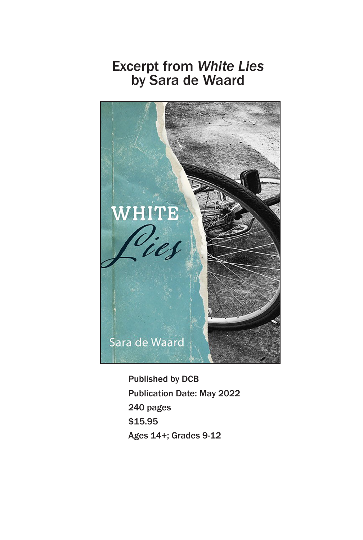## Excerpt from *White Lies* by Sara de Waard



Published by DCB Publication Date: May 2022 240 pages \$15.95 Ages 14+; Grades 9-12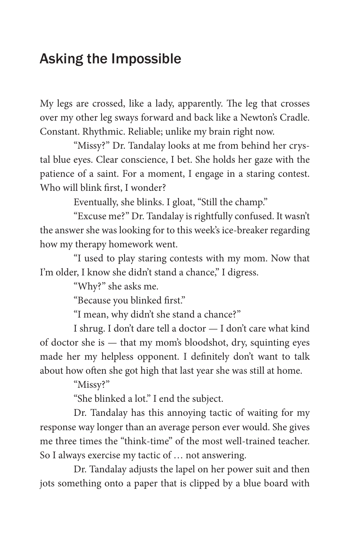## Asking the Impossible

My legs are crossed, like a lady, apparently. The leg that crosses over my other leg sways forward and back like a Newton's Cradle. Constant. Rhythmic. Reliable; unlike my brain right now.

"Missy?" Dr. Tandalay looks at me from behind her crystal blue eyes. Clear conscience, I bet. She holds her gaze with the patience of a saint. For a moment, I engage in a staring contest. Who will blink first, I wonder?

Eventually, she blinks. I gloat, "Still the champ."

"Excuse me?" Dr. Tandalay is rightfully confused. It wasn't the answer she was looking for to this week's ice-breaker regarding how my therapy homework went.

"I used to play staring contests with my mom. Now that I'm older, I know she didn't stand a chance," I digress.

"Why?" she asks me.

"Because you blinked first."

"I mean, why didn't she stand a chance?"

I shrug. I don't dare tell a doctor — I don't care what kind of doctor she is — that my mom's bloodshot, dry, squinting eyes made her my helpless opponent. I definitely don't want to talk about how often she got high that last year she was still at home.

"Missy?"

"She blinked a lot." I end the subject.

Dr. Tandalay has this annoying tactic of waiting for my response way longer than an average person ever would. She gives me three times the "think-time" of the most well-trained teacher. So I always exercise my tactic of … not answering.

Dr. Tandalay adjusts the lapel on her power suit and then jots something onto a paper that is clipped by a blue board with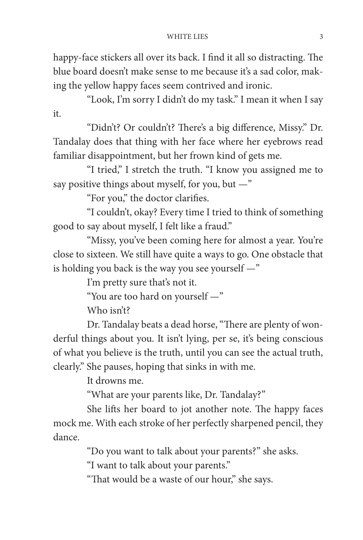## WHITE LIES 3

happy-face stickers all over its back. I find it all so distracting. The blue board doesn't make sense to me because it's a sad color, making the yellow happy faces seem contrived and ironic.

"Look, I'm sorry I didn't do my task." I mean it when I say it.

"Didn't? Or couldn't? There's a big difference, Missy." Dr. Tandalay does that thing with her face where her eyebrows read familiar disappointment, but her frown kind of gets me.

"I tried," I stretch the truth. "I know you assigned me to say positive things about myself, for you, but —"

"For you," the doctor clarifies.

"I couldn't, okay? Every time I tried to think of something good to say about myself, I felt like a fraud."

"Missy, you've been coming here for almost a year. You're close to sixteen. We still have quite a ways to go. One obstacle that is holding you back is the way you see yourself —"

I'm pretty sure that's not it.

"You are too hard on yourself —"

Who isn't?

Dr. Tandalay beats a dead horse, "There are plenty of wonderful things about you. It isn't lying, per se, it's being conscious of what you believe is the truth, until you can see the actual truth, clearly." She pauses, hoping that sinks in with me.

It drowns me.

"What are your parents like, Dr. Tandalay?"

She lifts her board to jot another note. The happy faces mock me. With each stroke of her perfectly sharpened pencil, they dance.

"Do you want to talk about your parents?" she asks.

"I want to talk about your parents."

"That would be a waste of our hour," she says.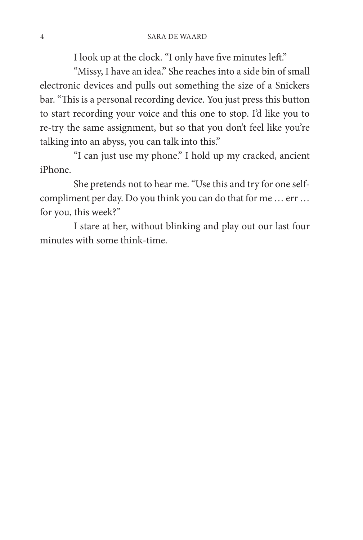I look up at the clock. "I only have five minutes left."

"Missy, I have an idea." She reaches into a side bin of small electronic devices and pulls out something the size of a Snickers bar. "This is a personal recording device. You just press this button to start recording your voice and this one to stop. I'd like you to re-try the same assignment, but so that you don't feel like you're talking into an abyss, you can talk into this."

"I can just use my phone." I hold up my cracked, ancient iPhone.

She pretends not to hear me. "Use this and try for one selfcompliment per day. Do you think you can do that for me … err … for you, this week?"

I stare at her, without blinking and play out our last four minutes with some think-time.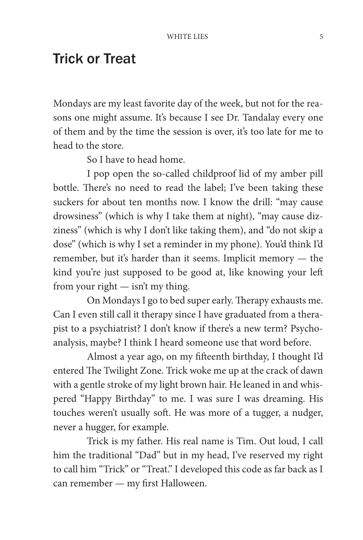## Trick or Treat

Mondays are my least favorite day of the week, but not for the reasons one might assume. It's because I see Dr. Tandalay every one of them and by the time the session is over, it's too late for me to head to the store.

So I have to head home.

I pop open the so-called childproof lid of my amber pill bottle. There's no need to read the label; I've been taking these suckers for about ten months now. I know the drill: "may cause drowsiness" (which is why I take them at night), "may cause dizziness" (which is why I don't like taking them), and "do not skip a dose" (which is why I set a reminder in my phone). You'd think I'd remember, but it's harder than it seems. Implicit memory — the kind you're just supposed to be good at, like knowing your left from your right — isn't my thing.

On Mondays I go to bed super early. Therapy exhausts me. Can I even still call it therapy since I have graduated from a therapist to a psychiatrist? I don't know if there's a new term? Psychoanalysis, maybe? I think I heard someone use that word before.

Almost a year ago, on my fifteenth birthday, I thought I'd entered The Twilight Zone. Trick woke me up at the crack of dawn with a gentle stroke of my light brown hair. He leaned in and whispered "Happy Birthday" to me. I was sure I was dreaming. His touches weren't usually soft. He was more of a tugger, a nudger, never a hugger, for example.

Trick is my father. His real name is Tim. Out loud, I call him the traditional "Dad" but in my head, I've reserved my right to call him "Trick" or "Treat." I developed this code as far back as I can remember — my first Halloween.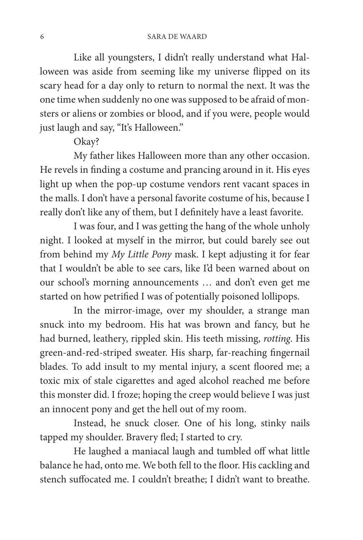Like all youngsters, I didn't really understand what Halloween was aside from seeming like my universe flipped on its scary head for a day only to return to normal the next. It was the one time when suddenly no one was supposed to be afraid of monsters or aliens or zombies or blood, and if you were, people would just laugh and say, "It's Halloween."

Okay?

My father likes Halloween more than any other occasion. He revels in finding a costume and prancing around in it. His eyes light up when the pop-up costume vendors rent vacant spaces in the malls. I don't have a personal favorite costume of his, because I really don't like any of them, but I definitely have a least favorite.

I was four, and I was getting the hang of the whole unholy night. I looked at myself in the mirror, but could barely see out from behind my *My Little Pony* mask. I kept adjusting it for fear that I wouldn't be able to see cars, like I'd been warned about on our school's morning announcements … and don't even get me started on how petrified I was of potentially poisoned lollipops.

In the mirror-image, over my shoulder, a strange man snuck into my bedroom. His hat was brown and fancy, but he had burned, leathery, rippled skin. His teeth missing, *rotting*. His green-and-red-striped sweater. His sharp, far-reaching fingernail blades. To add insult to my mental injury, a scent floored me; a toxic mix of stale cigarettes and aged alcohol reached me before this monster did. I froze; hoping the creep would believe I was just an innocent pony and get the hell out of my room.

Instead, he snuck closer. One of his long, stinky nails tapped my shoulder. Bravery fled; I started to cry.

He laughed a maniacal laugh and tumbled off what little balance he had, onto me. We both fell to the floor. His cackling and stench suffocated me. I couldn't breathe; I didn't want to breathe.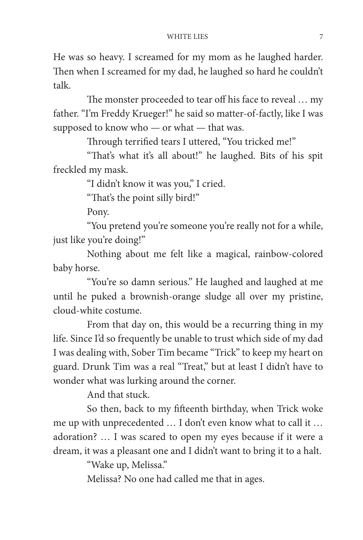He was so heavy. I screamed for my mom as he laughed harder. Then when I screamed for my dad, he laughed so hard he couldn't talk.

The monster proceeded to tear off his face to reveal … my father. "I'm Freddy Krueger!" he said so matter-of-factly, like I was supposed to know who — or what — that was.

Through terrified tears I uttered, "You tricked me!"

"That's what it's all about!" he laughed. Bits of his spit freckled my mask.

"I didn't know it was you," I cried.

"That's the point silly bird!"

Pony.

"You pretend you're someone you're really not for a while, just like you're doing!"

Nothing about me felt like a magical, rainbow-colored baby horse.

"You're so damn serious." He laughed and laughed at me until he puked a brownish-orange sludge all over my pristine, cloud-white costume.

From that day on, this would be a recurring thing in my life. Since I'd so frequently be unable to trust which side of my dad I was dealing with, Sober Tim became "Trick" to keep my heart on guard. Drunk Tim was a real "Treat," but at least I didn't have to wonder what was lurking around the corner.

And that stuck.

So then, back to my fifteenth birthday, when Trick woke me up with unprecedented … I don't even know what to call it … adoration? … I was scared to open my eyes because if it were a dream, it was a pleasant one and I didn't want to bring it to a halt.

"Wake up, Melissa."

Melissa? No one had called me that in ages.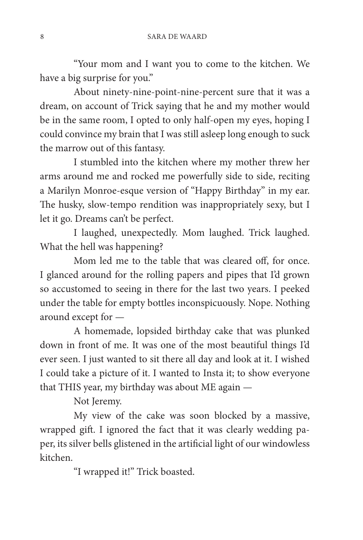"Your mom and I want you to come to the kitchen. We have a big surprise for you."

About ninety-nine-point-nine-percent sure that it was a dream, on account of Trick saying that he and my mother would be in the same room, I opted to only half-open my eyes, hoping I could convince my brain that I was still asleep long enough to suck the marrow out of this fantasy.

I stumbled into the kitchen where my mother threw her arms around me and rocked me powerfully side to side, reciting a Marilyn Monroe-esque version of "Happy Birthday" in my ear. The husky, slow-tempo rendition was inappropriately sexy, but I let it go. Dreams can't be perfect.

I laughed, unexpectedly. Mom laughed. Trick laughed. What the hell was happening?

Mom led me to the table that was cleared off, for once. I glanced around for the rolling papers and pipes that I'd grown so accustomed to seeing in there for the last two years. I peeked under the table for empty bottles inconspicuously. Nope. Nothing around except for —

A homemade, lopsided birthday cake that was plunked down in front of me. It was one of the most beautiful things I'd ever seen. I just wanted to sit there all day and look at it. I wished I could take a picture of it. I wanted to Insta it; to show everyone that THIS year, my birthday was about ME again —

Not Jeremy.

My view of the cake was soon blocked by a massive, wrapped gift. I ignored the fact that it was clearly wedding paper, its silver bells glistened in the artificial light of our windowless kitchen.

"I wrapped it!" Trick boasted.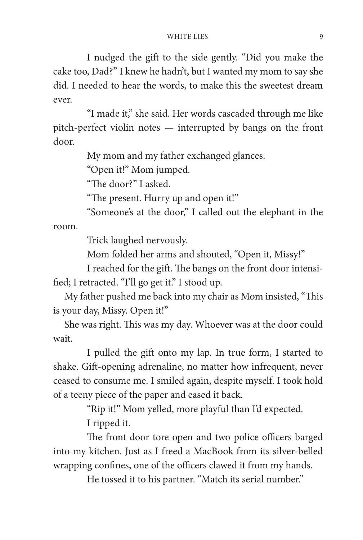I nudged the gift to the side gently. "Did you make the cake too, Dad?" I knew he hadn't, but I wanted my mom to say she did. I needed to hear the words, to make this the sweetest dream ever.

"I made it," she said. Her words cascaded through me like pitch-perfect violin notes — interrupted by bangs on the front door.

My mom and my father exchanged glances.

"Open it!" Mom jumped.

"The door?" I asked.

"The present. Hurry up and open it!"

"Someone's at the door," I called out the elephant in the room.

Trick laughed nervously.

Mom folded her arms and shouted, "Open it, Missy!"

I reached for the gift. The bangs on the front door intensified; I retracted. "I'll go get it." I stood up.

My father pushed me back into my chair as Mom insisted, "This is your day, Missy. Open it!"

She was right. This was my day. Whoever was at the door could wait.

I pulled the gift onto my lap. In true form, I started to shake. Gift-opening adrenaline, no matter how infrequent, never ceased to consume me. I smiled again, despite myself. I took hold of a teeny piece of the paper and eased it back.

> "Rip it!" Mom yelled, more playful than I'd expected. I ripped it.

The front door tore open and two police officers barged into my kitchen. Just as I freed a MacBook from its silver-belled wrapping confines, one of the officers clawed it from my hands.

He tossed it to his partner. "Match its serial number."